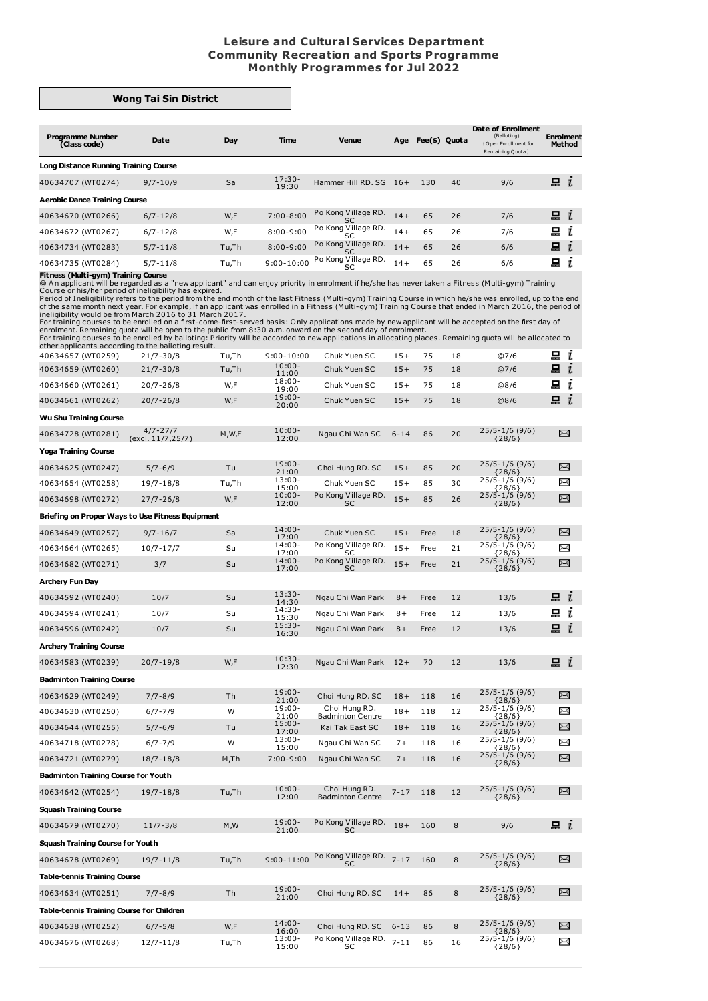## **Leisure and Cultural Services Department Community Recreation and Sports Programme Monthly Programmes for Jul 2022**

## **Wong Tai Sin District**

| <b>Programme Number</b><br>(Class code) | Date         | Day   | Time              | <b>Venue</b>                     | Age   | Fee(\$) Quota |    | Date of Enrollment<br>(Balloting)<br>Open Enrollment for<br>Remaining Quota | <b>Enrolment</b><br><b>Method</b> |
|-----------------------------------------|--------------|-------|-------------------|----------------------------------|-------|---------------|----|-----------------------------------------------------------------------------|-----------------------------------|
| Long Distance Running Training Course   |              |       |                   |                                  |       |               |    |                                                                             |                                   |
| 40634707 (WT0274)                       | $9/7 - 10/9$ | Sa    | $17:30-$<br>19:30 | Hammer Hill RD, SG               | $16+$ | 130           | 40 | 9/6                                                                         | 묘<br>$\mathbf{r}$                 |
| <b>Aerobic Dance Training Course</b>    |              |       |                   |                                  |       |               |    |                                                                             |                                   |
| 40634670 (WT0266)                       | $6/7 - 12/8$ | W,F   | $7:00 - 8:00$     | Po Kong Village RD.<br>SC        | $14+$ | 65            | 26 | 7/6                                                                         | $\Box$ i                          |
| 40634672 (WT0267)                       | $6/7 - 12/8$ | W,F   | $8:00 - 9:00$     | Po Kong Village RD.              | $14+$ | 65            | 26 | 7/6                                                                         | 묘<br>ı                            |
| 40634734 (WT0283)                       | $5/7 - 11/8$ | Tu,Th | $8:00 - 9:00$     | Po Kong Village RD.<br><b>SC</b> | $14+$ | 65            | 26 | 6/6                                                                         | 묘<br>$\mathbf{r}$                 |
| 40634735 (WT0284)                       | $5/7 - 11/8$ | Tu,Th | $9:00 - 10:00$    | Po Kong Village RD.<br>SC        | $14+$ | 65            | 26 | 6/6                                                                         | 묘                                 |

**Fitness (Multi-gym) Training Course**<br>
@An applicant will be regarded as a "new applicant" and can enjoy priority in enrolment if he/she has never taken a Fitness (Multi-gym) Training<br>
@An applicant will be regarded as a "

| saidi uppiiduits uddoi<br>40634657 (WT0259)      | .<br>$21/7 - 30/8$                | Tu,Th   | $9:00 - 10:00$     | Chuk Yuen SC                             | $15+$    | 75   | 18     | @7/6                                                                      | m i                  |
|--------------------------------------------------|-----------------------------------|---------|--------------------|------------------------------------------|----------|------|--------|---------------------------------------------------------------------------|----------------------|
| 40634659 (WT0260)                                | $21/7 - 30/8$                     | Tu,Th   | $10:00 -$<br>11:00 | Chuk Yuen SC                             | $15+$    | 75   | 18     | @7/6                                                                      | $\Xi$ i              |
| 40634660 (WT0261)                                | $20/7 - 26/8$                     | W,F     | $18:00 -$<br>19:00 | Chuk Yuen SC                             | $15+$    | 75   | 18     | @8/6                                                                      | 묘 i                  |
| 40634661 (WT0262)                                | $20/7 - 26/8$                     | W,F     | $19:00 -$<br>20:00 | Chuk Yuen SC                             | $15+$    | 75   | 18     | @8/6                                                                      | $\Xi$ $i$            |
| <b>Wu Shu Training Course</b>                    |                                   |         |                    |                                          |          |      |        |                                                                           |                      |
| 40634728 (WT0281)                                | $4/7 - 27/7$<br>(excl. 11/7,25/7) | M, W, F | $10:00 -$<br>12:00 | Ngau Chi Wan SC                          | $6 - 14$ | 86   | 20     | $25/5 - 1/6$ (9/6)<br>${28/6}$                                            | X                    |
| <b>Yoga Training Course</b>                      |                                   |         |                    |                                          |          |      |        |                                                                           |                      |
| 40634625 (WT0247)                                | $5/7 - 6/9$                       | Tu      | $19:00 -$<br>21:00 | Choi Hung RD. SC                         | $15+$    | 85   | 20     | 25/5-1/6 (9/6)<br>${28/6}$                                                | X                    |
| 40634654 (WT0258)                                | 19/7-18/8                         | Tu,Th   | $13:00 -$<br>15:00 | Chuk Yuen SC                             | $15+$    | 85   | 30     | $25/5 - 1/6$ (9/6)<br>${28/6}$<br>25/5-1/6 (9/6)                          | X                    |
| 40634698 (WT0272)                                | $27/7 - 26/8$                     | W,F     | $10:00 -$<br>12:00 | Po Kong Village RD.<br><b>SC</b>         | $15+$    | 85   | 26     | ${28/6}$                                                                  | X                    |
| Briefing on Proper Ways to Use Fitness Equipment |                                   |         |                    |                                          |          |      |        |                                                                           |                      |
| 40634649 (WT0257)                                | $9/7 - 16/7$                      | Sa      | $14:00 -$<br>17:00 | Chuk Yuen SC                             | $15+$    | Free | 18     | 25/5-1/6 (9/6)<br>${28/6}$                                                | X                    |
| 40634664 (WT0265)                                | $10/7 - 17/7$                     | Su      | $14:00 -$<br>17:00 | Po Kong Village RD.<br>SC                | $15+$    | Free | $21\,$ | $25/5 - 1/6$ (9/6)                                                        | $\scriptstyle\asymp$ |
| 40634682 (WT0271)                                | 3/7                               | Su      | $14:00 -$<br>17:00 | Po Kong Village RD.<br><b>SC</b>         | $15+$    | Free | 21     | $\begin{array}{c} \{28/6\} \\ 25/5 - 1/6 \ (9/6) \end{array}$<br>${28/6}$ | ⊠                    |
| <b>Archery Fun Day</b>                           |                                   |         |                    |                                          |          |      |        |                                                                           |                      |
| 40634592 (WT0240)                                | 10/7                              | Su      | $13:30-$<br>14:30  | Ngau Chi Wan Park                        | $8+$     | Free | 12     | 13/6                                                                      | 묘 $i$                |
| 40634594 (WT0241)                                | 10/7                              | Su      | $14:30-$<br>15:30  | Ngau Chi Wan Park                        | $8+$     | Free | 12     | 13/6                                                                      | g i                  |
| 40634596 (WT0242)                                | 10/7                              | Su      | $15:30-$<br>16:30  | Ngau Chi Wan Park                        | $8+$     | Free | 12     | 13/6                                                                      | ᇤ 1                  |
| <b>Archery Training Course</b>                   |                                   |         |                    |                                          |          |      |        |                                                                           |                      |
| 40634583 (WT0239)                                | $20/7 - 19/8$                     | W,F     | $10:30 -$<br>12:30 | Ngau Chi Wan Park                        | $12+$    | 70   | 12     | 13/6                                                                      | <b>묘ι</b>            |
| <b>Badminton Training Course</b>                 |                                   |         |                    |                                          |          |      |        |                                                                           |                      |
| 40634629 (WT0249)                                | $7/7 - 8/9$                       | Th      | $19:00 -$<br>21:00 | Choi Hung RD. SC                         | $18+$    | 118  | 16     | $25/5 - 1/6$ (9/6)<br>${28/6}$                                            | $\Join$              |
| 40634630 (WT0250)                                | $6/7 - 7/9$                       | W       | $19:00 -$<br>21:00 | Choi Hung RD.<br><b>Badminton Centre</b> | $18+$    | 118  | 12     | $25/5 - 1/6$ (9/6)<br>${28/6}$                                            | ⊠                    |
| 40634644 (WT0255)                                | $5/7 - 6/9$                       | Tu      | $15:00 -$<br>17:00 | Kai Tak East SC                          | $18 +$   | 118  | 16     | $25/5 - 1/6$ (9/6)<br>${28/6}$                                            | ⊠                    |
| 40634718 (WT0278)                                | $6/7 - 7/9$                       | W       | $13:00 -$<br>15:00 | Ngau Chi Wan SC                          | $7+$     | 118  | 16     | $25/5 - 1/6$ (9/6)<br>${28/6}$                                            | ⊠                    |
| 40634721 (WT0279)                                | $18/7 - 18/8$                     | M, Th   | $7:00 - 9:00$      | Ngau Chi Wan SC                          | $7+$     | 118  | 16     | $25/5 - 1/6$ (9/6)<br>${28/6}$                                            | X                    |
| <b>Badminton Training Course for Youth</b>       |                                   |         |                    |                                          |          |      |        |                                                                           |                      |
| 40634642 (WT0254)                                | $19/7 - 18/8$                     | Tu,Th   | $10:00 -$<br>12:00 | Choi Hung RD.<br><b>Badminton Centre</b> | $7 - 17$ | 118  | 12     | $25/5 - 1/6$ (9/6)<br>${28/6}$                                            | X                    |
| <b>Squash Training Course</b>                    |                                   |         |                    |                                          |          |      |        |                                                                           |                      |
| 40634679 (WT0270)                                | $11/7 - 3/8$                      | M, W    | $19:00 -$<br>21:00 | Po Kong Village RD.<br>SC                | $18 +$   | 160  | 8      | 9/6                                                                       | m i                  |
| <b>Squash Training Course for Youth</b>          |                                   |         |                    |                                          |          |      |        |                                                                           |                      |
| 40634678 (WT0269)                                | $19/7 - 11/8$                     | Tu,Th   | $9:00 - 11:00$     | Po Kong Village RD. 7-17<br>SC           |          | 160  | 8      | $25/5 - 1/6$ (9/6)                                                        | ⊠                    |
| <b>Table-tennis Training Course</b>              |                                   |         |                    |                                          |          |      |        | ${28/6}$                                                                  |                      |
| 40634634 (WT0251)                                | $7/7 - 8/9$                       | Th      | $19:00 -$          | Choi Hung RD. SC                         | $14+$    | 86   | 8      | $25/5 - 1/6$ (9/6)                                                        | X                    |
| Table-tennis Training Course for Children        |                                   |         | 21:00              |                                          |          |      |        | ${28/6}$                                                                  |                      |
| 40634638 (WT0252)                                | $6/7 - 5/8$                       | W,F     | $14:00 -$          | Choi Hung RD. SC                         | $6 - 13$ | 86   | 8      | $25/5 - 1/6$ (9/6)                                                        | ∝                    |
| 40634676 (WT0268)                                | $12/7 - 11/8$                     | Tu,Th   | 16:00<br>$13:00 -$ | Po Kong Village RD.                      | $7 - 11$ | 86   | 16     | ${28/6}$<br>$25/5 - 1/6$ (9/6)                                            | X                    |
|                                                  |                                   |         | 15:00              | SC                                       |          |      |        | ${28/6}$                                                                  |                      |